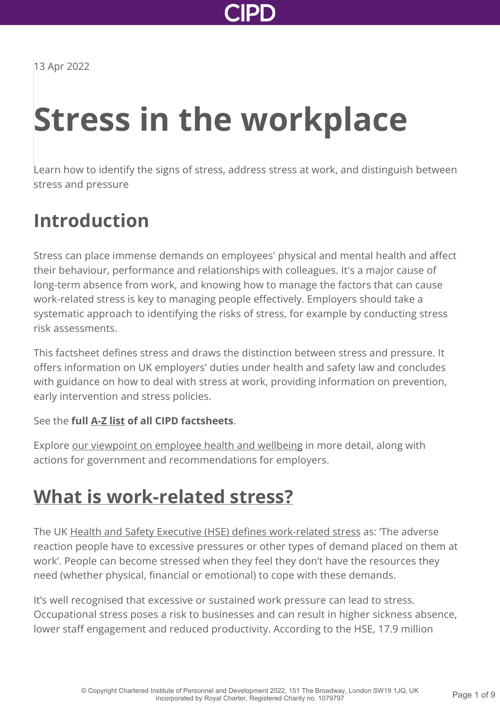

13 Apr 2022

# **Stress in the workplace**

Learn how to identify the signs of stress, address stress at work, and distinguish between stress and pressure

# **Introduction**

Stress can place immense demands on employees' physical and mental health and affect their behaviour, performance and relationships with colleagues. It's a major cause of long-term absence from work, and knowing how to manage the factors that can cause work-related stress is key to managing people effectively. Employers should take a systematic approach to identifying the risks of stress, for example by conducting stress risk assessments.

This factsheet defines stress and draws the distinction between stress and pressure. It offers information on UK employers' duties under health and safety law and concludes with guidance on how to deal with stress at work, providing information on prevention, early intervention and stress policies.

#### See the **full [A-Z list](http://www.cipd.co.uk/knowledge/practical-guidance-a-z/factsheets/) of all CIPD factsheets**.

Explore [our viewpoint on employee health and wellbeing](http://www.cipd.co.uk/news-views/viewpoint/employee-health-well-being/) in more detail, along with actions for government and recommendations for employers.

## **[What is work-related stress?](http://www.cipd.co.uk/knowledge/culture/well-being/stress-factsheet?pdf=true#)**

The UK [Health and Safety Executive \(HSE\) defines work-related stress](http://www.hse.gov.uk/pubns/indg424.pdf) as: 'The adverse reaction people have to excessive pressures or other types of demand placed on them at work'. People can become stressed when they feel they don't have the resources they need (whether physical, financial or emotional) to cope with these demands.

It's well recognised that excessive or sustained work pressure can lead to stress. Occupational stress poses a risk to businesses and can result in higher sickness absence, lower staff engagement and reduced productivity. According to the HSE, 17.9 million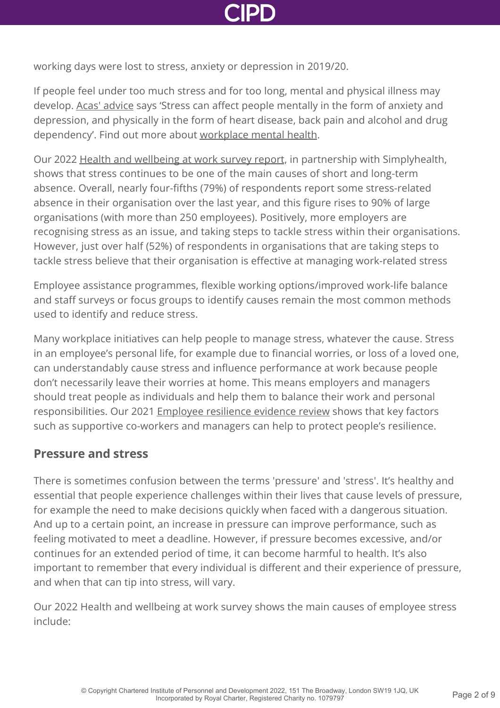

working days were lost to stress, anxiety or depression in 2019/20.

If people feel under too much stress and for too long, mental and physical illness may develop. [Acas' advice](https://webarchive.nationalarchives.gov.uk/20210104113357/https://archive.acas.org.uk/index.aspx?articleid=6062) says 'Stress can affect people mentally in the form of anxiety and depression, and physically in the form of heart disease, back pain and alcohol and drug dependency'. Find out more about [workplace mental health.](http://www.cipd.co.uk/knowledge/culture/well-being/mental-health-factsheet/)

Our 2022 [Health and wellbeing at work survey report](http://www.cipd.co.uk/knowledge/culture/well-being/health-well-being-work/), in partnership with Simplyhealth, shows that stress continues to be one of the main causes of short and long-term absence. Overall, nearly four-fifths (79%) of respondents report some stress-related absence in their organisation over the last year, and this figure rises to 90% of large organisations (with more than 250 employees). Positively, more employers are recognising stress as an issue, and taking steps to tackle stress within their organisations. However, just over half (52%) of respondents in organisations that are taking steps to tackle stress believe that their organisation is effective at managing work-related stress

Employee assistance programmes, flexible working options/improved work-life balance and staff surveys or focus groups to identify causes remain the most common methods used to identify and reduce stress.

Many workplace initiatives can help people to manage stress, whatever the cause. Stress in an employee's personal life, for example due to financial worries, or loss of a loved one, can understandably cause stress and influence performance at work because people don't necessarily leave their worries at home. This means employers and managers should treat people as individuals and help them to balance their work and personal responsibilities. Our 2021 [Employee resilience evidence review](http://www.cipd.co.uk/knowledge/culture/well-being/evidence-resilience/) shows that key factors such as supportive co-workers and managers can help to protect people's resilience.

#### **Pressure and stress**

There is sometimes confusion between the terms 'pressure' and 'stress'. It's healthy and essential that people experience challenges within their lives that cause levels of pressure, for example the need to make decisions quickly when faced with a dangerous situation. And up to a certain point, an increase in pressure can improve performance, such as feeling motivated to meet a deadline. However, if pressure becomes excessive, and/or continues for an extended period of time, it can become harmful to health. It's also important to remember that every individual is different and their experience of pressure, and when that can tip into stress, will vary.

Our 2022 Health and wellbeing at work survey shows the main causes of employee stress include: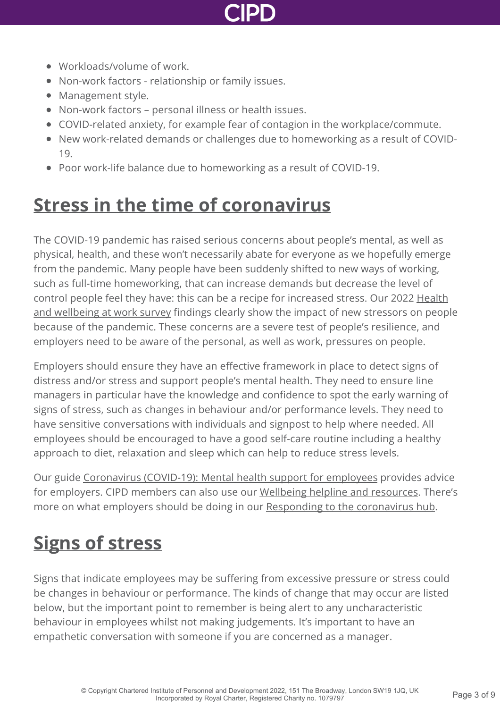

- Workloads/volume of work.
- Non-work factors relationship or family issues.
- Management style.
- Non-work factors personal illness or health issues.
- COVID-related anxiety, for example fear of contagion in the workplace/commute.
- New work-related demands or challenges due to homeworking as a result of COVID-19.
- Poor work-life balance due to homeworking as a result of COVID-19.

# **[Stress in the time of coronavirus](http://www.cipd.co.uk/knowledge/culture/well-being/stress-factsheet?pdf=true#)**

The COVID-19 pandemic has raised serious concerns about people's mental, as well as physical, health, and these won't necessarily abate for everyone as we hopefully emerge from the pandemic. Many people have been suddenly shifted to new ways of working, such as full-time homeworking, that can increase demands but decrease the level of control people feel they have: this can be a recipe for increased stress. Our 2022 Health [and wellbeing at work survey findings clearly show the impact of new stressors on peop](http://www.cipd.co.uk/knowledge/culture/well-being/health-well-being-work/)le because of the pandemic. These concerns are a severe test of people's resilience, and employers need to be aware of the personal, as well as work, pressures on people.

Employers should ensure they have an effective framework in place to detect signs of distress and/or stress and support people's mental health. They need to ensure line managers in particular have the knowledge and confidence to spot the early warning of signs of stress, such as changes in behaviour and/or performance levels. They need to have sensitive conversations with individuals and signpost to help where needed. All employees should be encouraged to have a good self-care routine including a healthy approach to diet, relaxation and sleep which can help to reduce stress levels.

Our guide [Coronavirus \(COVID-19\): Mental health support for employees](http://www.cipd.co.uk/knowledge/culture/well-being/supporting-mental-health-workplace-return/) provides advice for employers. CIPD members can also use our [Wellbeing helpline and resources.](http://www.cipd.co.uk/membership/benefits/wellbeing-helpline-services/) There's more on what employers should be doing in our [Responding to the coronavirus hub.](http://www.cipd.co.uk/knowledge/coronavirus/)

# **[Signs of stress](http://www.cipd.co.uk/knowledge/culture/well-being/stress-factsheet?pdf=true#)**

Signs that indicate employees may be suffering from excessive pressure or stress could be changes in behaviour or performance. The kinds of change that may occur are listed below, but the important point to remember is being alert to any uncharacteristic behaviour in employees whilst not making judgements. It's important to have an empathetic conversation with someone if you are concerned as a manager.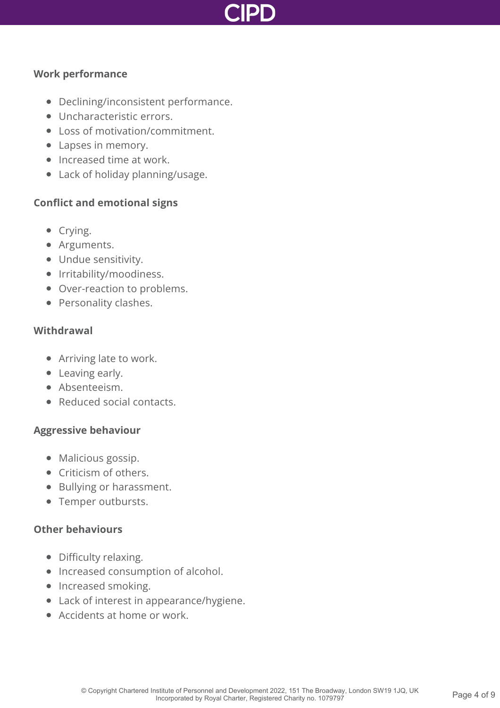

#### **Work performance**

- Declining/inconsistent performance.
- **Uncharacteristic errors.**
- Loss of motivation/commitment.
- Lapses in memory.
- Increased time at work.
- Lack of holiday planning/usage.

#### **Conflict and emotional signs**

- Crying.
- Arguments.
- Undue sensitivity.
- Irritability/moodiness.
- Over-reaction to problems.
- Personality clashes.

#### **Withdrawal**

- Arriving late to work.
- Leaving early.
- Absenteeism.
- Reduced social contacts.

#### **Aggressive behaviour**

- Malicious gossip.
- Criticism of others.
- Bullying or harassment.
- Temper outbursts.

#### **Other behaviours**

- Difficulty relaxing.
- Increased consumption of alcohol.
- Increased smoking.
- Lack of interest in appearance/hygiene.
- Accidents at home or work.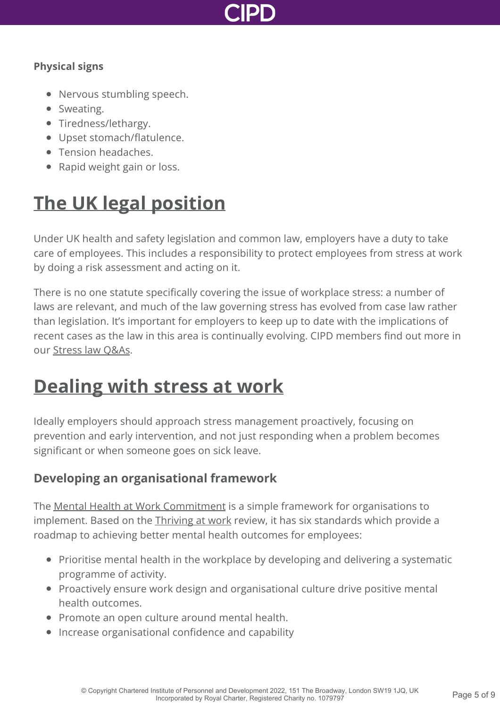

#### **Physical signs**

- Nervous stumbling speech.
- Sweating.
- Tiredness/lethargy.
- Upset stomach/flatulence.
- Tension headaches.
- Rapid weight gain or loss.

# **[The UK legal position](http://www.cipd.co.uk/knowledge/culture/well-being/stress-factsheet?pdf=true#)**

Under UK health and safety legislation and common law, employers have a duty to take care of employees. This includes a responsibility to protect employees from stress at work by doing a risk assessment and acting on it.

There is no one statute specifically covering the issue of workplace stress: a number of laws are relevant, and much of the law governing stress has evolved from case law rather than legislation. It's important for employers to keep up to date with the implications of recent cases as the law in this area is continually evolving. CIPD members find out more in our [Stress law Q&As.](http://www.cipd.co.uk/knowledge/fundamentals/emp-law/health-safety/stress-questions/)

# **[Dealing with stress at work](http://www.cipd.co.uk/knowledge/culture/well-being/stress-factsheet?pdf=true#)**

Ideally employers should approach stress management proactively, focusing on prevention and early intervention, and not just responding when a problem becomes significant or when someone goes on sick leave.

### **Developing an organisational framework**

The [Mental Health at Work Commitment](https://www.mentalhealthatwork.org.uk/commitment/) is a simple framework for organisations to implement. Based on the *Thriving at work* review, it has six standards which provide a roadmap to achieving better mental health outcomes for employees:

- Prioritise mental health in the workplace by developing and delivering a systematic programme of activity.
- Proactively ensure work design and organisational culture drive positive mental health outcomes.
- Promote an open culture around mental health.
- Increase organisational confidence and capability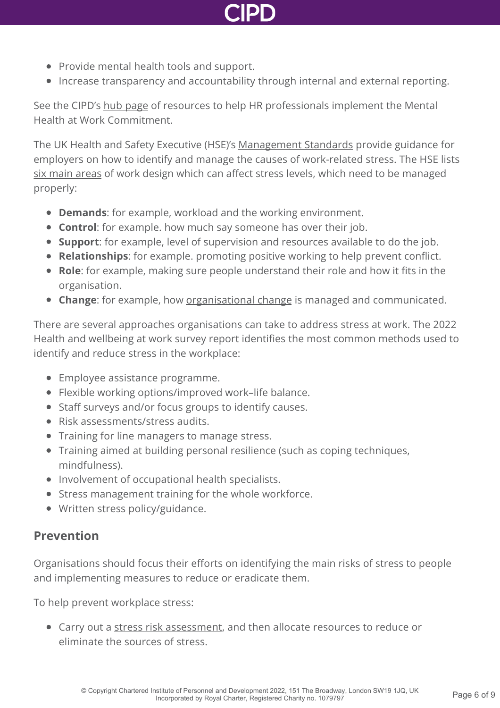

- Provide mental health tools and support.
- Increase transparency and accountability through internal and external reporting.

See the CIPD's [hub page](http://www.cipd.co.uk/knowledge/culture/well-being/mental-health-at-work-commitment/) of resources to help HR professionals implement the Mental Health at Work Commitment.

The UK Health and Safety Executive (HSE)'s [Management Standards](http://www.hse.gov.uk/stress/standards/index.htm) provide guidance for employers on how to identify and manage the causes of work-related stress. The HSE lists [six main areas](http://www.hse.gov.uk/stress/causes.htm) of work design which can affect stress levels, which need to be managed properly:

- **Demands**: for example, workload and the working environment.
- **Control**: for example. how much say someone has over their job.
- **Support**: for example, level of supervision and resources available to do the job.
- **Relationships**: for example. promoting positive working to help prevent conflict.
- **Role**: for example, making sure people understand their role and how it fits in the organisation.
- **Change**: for example, how [organisational change](http://www.cipd.co.uk/knowledge/strategy/change/management-factsheet/) is managed and communicated.

There are several approaches organisations can take to address stress at work. The 2022 Health and wellbeing at work survey report identifies the most common methods used to identify and reduce stress in the workplace:

- Employee assistance programme.
- Flexible working options/improved work–life balance.
- Staff surveys and/or focus groups to identify causes.
- Risk assessments/stress audits.
- Training for line managers to manage stress.
- Training aimed at building personal resilience (such as coping techniques, mindfulness).
- Involvement of occupational health specialists.
- Stress management training for the whole workforce.
- Written stress policy/guidance.

### **Prevention**

Organisations should focus their efforts on identifying the main risks of stress to people and implementing measures to reduce or eradicate them.

To help prevent workplace stress:

• Carry out a [stress risk assessment](https://www.hse.gov.uk/stress/risk-assessment.htm), and then allocate resources to reduce or eliminate the sources of stress.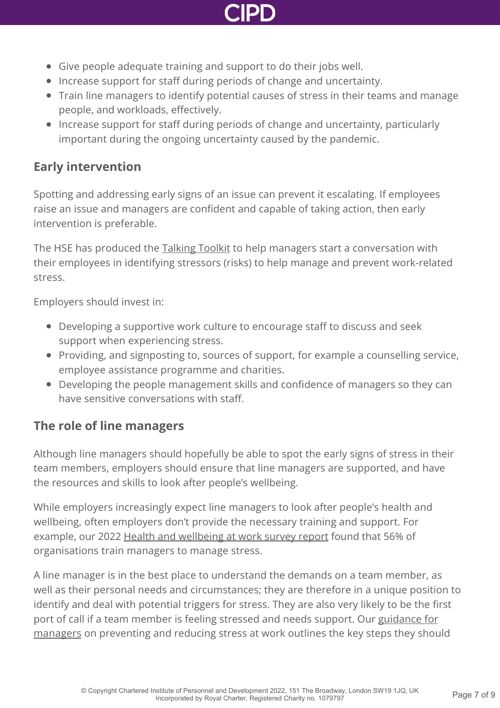

- Give people adequate training and support to do their jobs well.
- Increase support for staff during periods of change and uncertainty.
- Train line managers to identify potential causes of stress in their teams and manage people, and workloads, effectively.
- Increase support for staff during periods of change and uncertainty, particularly important during the ongoing uncertainty caused by the pandemic.

### **Early intervention**

Spotting and addressing early signs of an issue can prevent it escalating. If employees raise an issue and managers are confident and capable of taking action, then early intervention is preferable.

The HSE has produced the [Talking Toolkit](http://www.hse.gov.uk/gohomehealthy/stress.htm) to help managers start a conversation with their employees in identifying stressors (risks) to help manage and prevent work-related stress.

Employers should invest in:

- Developing a supportive work culture to encourage staff to discuss and seek support when experiencing stress.
- Providing, and signposting to, sources of support, for example a counselling service, employee assistance programme and charities.
- Developing the people management skills and confidence of managers so they can have sensitive conversations with staff.

### **The role of line managers**

Although line managers should hopefully be able to spot the early signs of stress in their team members, employers should ensure that line managers are supported, and have the resources and skills to look after people's wellbeing.

While employers increasingly expect line managers to look after people's health and wellbeing, often employers don't provide the necessary training and support. For example, our 2022 [Health and wellbeing at work survey report](http://www.cipd.co.uk/knowledge/culture/well-being/health-well-being-work/) found that 56% of organisations train managers to manage stress.

A line manager is in the best place to understand the demands on a team member, as well as their personal needs and circumstances; they are therefore in a unique position to identify and deal with potential triggers for stress. They are also very likely to be the first port of call if a team member is feeling stressed and needs support. Our guidance for [managers on preventing and reducing stress at work outlines the key steps they shou](http://www.cipd.co.uk/knowledge/culture/well-being/managing-stress-at-work/)ld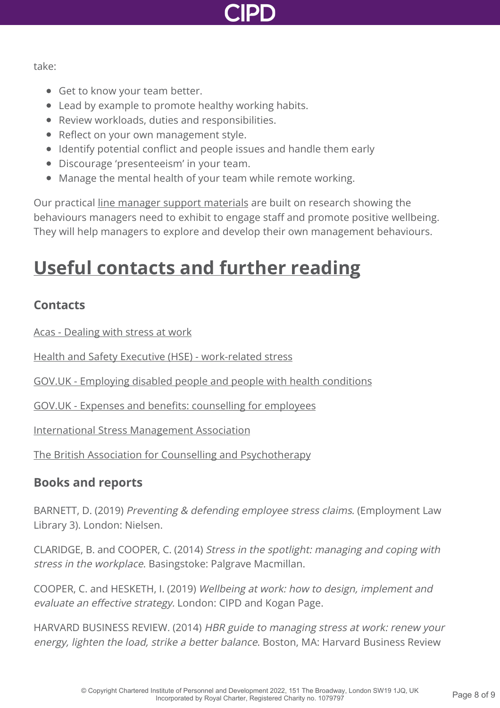

take:

- Get to know your team better.
- Lead by example to promote healthy working habits.
- Review workloads, duties and responsibilities.
- Reflect on your own management style.
- Identify potential conflict and people issues and handle them early
- Discourage 'presenteeism' in your team.
- Manage the mental health of your team while remote working.

Our practical [line manager support materials](http://www.cipd.co.uk/knowledge/fundamentals/people/line-manager/) are built on research showing the behaviours managers need to exhibit to engage staff and promote positive wellbeing. They will help managers to explore and develop their own management behaviours.

# **[Useful contacts and further reading](http://www.cipd.co.uk/knowledge/culture/well-being/stress-factsheet?pdf=true#)**

### **Contacts**

[Acas - Dealing with stress at work](http://www.acas.org.uk/index.aspx?articleid=6062)

[Health and Safety Executive \(HSE\) - work-related stress](http://www.hse.gov.uk/stress/index.htm)

[GOV.UK - Employing disabled people and people with health conditions](https://www.gov.uk/government/publications/employing-disabled-people-and-people-with-health-conditions/employing-disabled-people-and-people-with-health-conditions)

[GOV.UK - Expenses and benefits: counselling for employees](https://www.gov.uk/expenses-and-benefits-counselling)

[International Stress Management Association](http://www.isma.org.uk/)

[The British Association for Counselling and Psychotherapy](http://www.bacp.co.uk)

### **Books and reports**

BARNETT, D. (2019) Preventing & defending employee stress claims. (Employment Law Library 3). London: Nielsen.

CLARIDGE, B. and COOPER, C. (2014) Stress in the spotlight: managing and coping with stress in the workplace. Basingstoke: Palgrave Macmillan.

COOPER, C. and HESKETH, I. (2019) Wellbeing at work: how to design, implement and evaluate an effective strategy. London: CIPD and Kogan Page.

HARVARD BUSINESS REVIEW. (2014) HBR guide to managing stress at work: renew your energy, lighten the load, strike a better balance. Boston, MA: Harvard Business Review